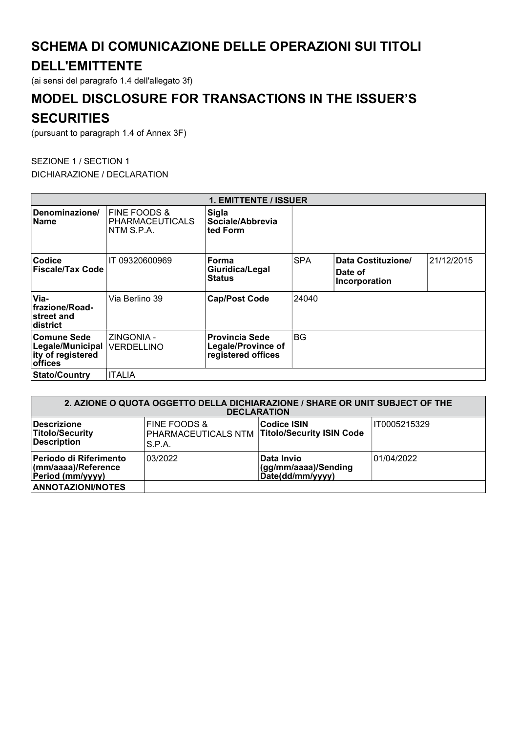## SCHEMA DI COMUNICAZIONE DELLE OPERAZIONI SUI TITOLI

## DELL'EMITTENTE

(ai sensi del paragrafo 1.4 dell'allegato 3f)

# MODEL DISCLOSURE FOR TRANSACTIONS IN THE ISSUER'S

### **SECURITIES**

(pursuant to paragraph 1.4 of Annex 3F)

#### SEZIONE 1 / SECTION 1 DICHIARAZIONE / DECLARATION

| <b>1. EMITTENTE / ISSUER</b>                                           |                                                      |                                                                          |            |                                                |            |  |  |  |
|------------------------------------------------------------------------|------------------------------------------------------|--------------------------------------------------------------------------|------------|------------------------------------------------|------------|--|--|--|
| Denominazione/<br><b>Name</b>                                          | FINE FOODS &<br><b>PHARMACEUTICALS</b><br>NTM S.P.A. | <b>Sigla</b><br>Sociale/Abbrevia<br>∣ted Form                            |            |                                                |            |  |  |  |
| Codice<br><b>Fiscale/Tax Code</b>                                      | IT 09320600969                                       | Forma<br>Giuridica/Legal<br><b>Status</b>                                | <b>SPA</b> | Data Costituzione/<br>Date of<br>Incorporation | 21/12/2015 |  |  |  |
| Via-<br>frazione/Road-<br>street and<br>district                       | Via Berlino 39                                       | <b>Cap/Post Code</b>                                                     | 24040      |                                                |            |  |  |  |
| <b>Comune Sede</b><br>Legale/Municipal<br>ity of registered<br>offices | ZINGONIA -<br><b>VERDELLINO</b>                      | <b>Provincia Sede</b><br><b>Legale/Province of</b><br>registered offices | BG         |                                                |            |  |  |  |
| ∣Stato/Countrv                                                         | <b>ITALIA</b>                                        |                                                                          |            |                                                |            |  |  |  |

| 2. AZIONE O QUOTA OGGETTO DELLA DICHIARAZIONE / SHARE OR UNIT SUBJECT OF THE<br><b>DECLARATION</b> |                                                                                    |                                                               |              |  |  |  |
|----------------------------------------------------------------------------------------------------|------------------------------------------------------------------------------------|---------------------------------------------------------------|--------------|--|--|--|
| Descrizione<br><b>Titolo/Security</b><br><b>Description</b>                                        | <b>FINE FOODS &amp;</b><br>PHARMACEUTICALS NTM Titolo/Security ISIN Code<br>S.P.A. | <b>Codice ISIN</b>                                            | IT0005215329 |  |  |  |
| Periodo di Riferimento<br>(mm/aaaa)/Reference<br>Period (mm/yyyy)                                  | 03/2022                                                                            | <b>Data Invio</b><br>(gg/mm/aaaa)/Sending<br>Date(dd/mm/yyyy) | 01/04/2022   |  |  |  |
| <b>ANNOTAZIONI/NOTES</b>                                                                           |                                                                                    |                                                               |              |  |  |  |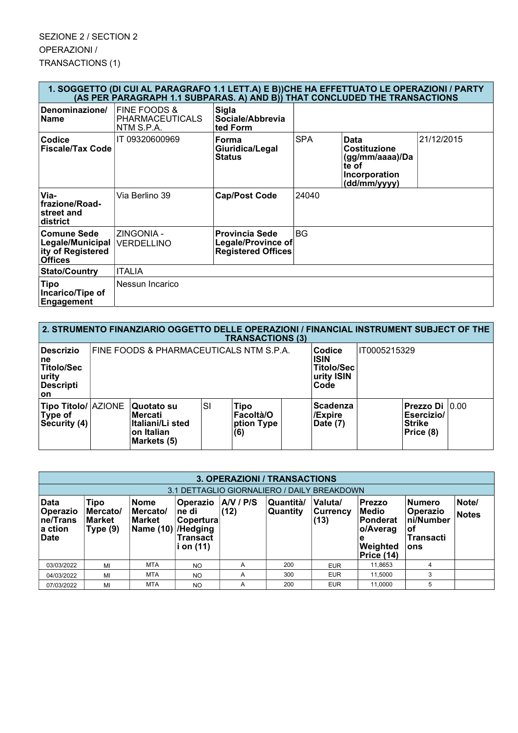| 1. SOGGETTO (DI CUI AL PARAGRAFO 1.1 LETT.A) E B))CHE HA EFFETTUATO LE OPERAZIONI / PARTY<br>(AS PER PARAGRAPH 1.1 SUBPARAS. A) AND B)) THAT CONCLUDED THE TRANSACTIONS |                                                      |                                                                                 |            |                                                                                          |            |  |  |
|-------------------------------------------------------------------------------------------------------------------------------------------------------------------------|------------------------------------------------------|---------------------------------------------------------------------------------|------------|------------------------------------------------------------------------------------------|------------|--|--|
| Denominazione/<br><b>Name</b>                                                                                                                                           | FINE FOODS &<br><b>PHARMACEUTICALS</b><br>NTM S.P.A. | <b>Sigla</b><br>Sociale/Abbrevia<br>ted Form                                    |            |                                                                                          |            |  |  |
| <b>Codice</b><br><b>Fiscale/Tax Code</b>                                                                                                                                | IT 09320600969                                       | Forma<br>Giuridica/Legal<br><b>Status</b>                                       | <b>SPA</b> | Data<br><b>Costituzione</b><br>(gg/mm/aaaa)/Da<br>te of<br>Incorporation<br>(dd/mm/yyyy) | 21/12/2015 |  |  |
| Via-<br>frazione/Road-<br>street and<br>district                                                                                                                        | Via Berlino 39                                       | <b>Cap/Post Code</b>                                                            | 24040      |                                                                                          |            |  |  |
| Comune Sede<br>Legale/Municipal<br>ity of Registered<br><b>Offices</b>                                                                                                  | ZINGONIA -<br><b>VERDELLINO</b>                      | <b>Provincia Sede</b><br><b>Legale/Province of</b><br><b>Registered Offices</b> | <b>BG</b>  |                                                                                          |            |  |  |
| <b>Stato/Country</b>                                                                                                                                                    | <b>ITALIA</b>                                        |                                                                                 |            |                                                                                          |            |  |  |
| <b>Tipo</b><br>Incarico/Tipe of<br>Engagement                                                                                                                           | Nessun Incarico                                      |                                                                                 |            |                                                                                          |            |  |  |
|                                                                                                                                                                         |                                                      |                                                                                 |            |                                                                                          |            |  |  |

| 2. STRUMENTO FINANZIARIO OGGETTO DELLE OPERAZIONI / FINANCIAL INSTRUMENT SUBJECT OF THE<br><b>TRANSACTIONS (3)</b> |                                         |                                                                         |    |                                                                  |              |                                        |  |                                                            |  |
|--------------------------------------------------------------------------------------------------------------------|-----------------------------------------|-------------------------------------------------------------------------|----|------------------------------------------------------------------|--------------|----------------------------------------|--|------------------------------------------------------------|--|
| <b>Descrizio</b><br>∣ne<br><b>Titolo/Sec</b><br>urity<br>Descripti<br><b>on</b>                                    | FINE FOODS & PHARMACEUTICALS NTM S.P.A. |                                                                         |    | Codice<br><b>ISIN</b><br><b>Titolo/Sec</b><br>urity ISIN<br>Code | IT0005215329 |                                        |  |                                                            |  |
| <b>Tipo Titolo/ AZIONE</b><br>Type of<br>Security (4)                                                              |                                         | Quotato su<br>lMercati<br>Italiani/Li sted<br>on Italian<br>Markets (5) | SI | Tipo<br> Facoltà/O<br>ption Type<br>(6)                          |              | <b>Scadenza</b><br>/Expire<br>Date (7) |  | Prezzo Di 0.00<br>Esercizio/<br><b>Strike</b><br>Price (8) |  |

| 3. OPERAZIONI / TRANSACTIONS                      |                                               |                                                 |                                                                            |                 |                      |                             |                                                                                       |                                                                  |                       |
|---------------------------------------------------|-----------------------------------------------|-------------------------------------------------|----------------------------------------------------------------------------|-----------------|----------------------|-----------------------------|---------------------------------------------------------------------------------------|------------------------------------------------------------------|-----------------------|
| 3.1 DETTAGLIO GIORNALIERO / DAILY BREAKDOWN       |                                               |                                                 |                                                                            |                 |                      |                             |                                                                                       |                                                                  |                       |
| Data<br>Operazio<br>ne/Trans<br>∣a ction<br>∣Date | Tipo<br>Mercato/<br><b>Market</b><br>Type (9) | <b>Nome</b><br>Mercato/<br>Market<br> Name (10) | <b>Operazio</b><br>ne di<br>Copertura<br>/Hedging<br>Transact<br>i on (11) | AV / PS<br>(12) | Quantità<br>Quantity | Valuta/<br>Currency<br>(13) | <b>Prezzo</b><br><b>Medio</b><br>Ponderat<br>o/Averag<br>۱e<br>Weighted<br>Price (14) | <b>Numero</b><br>Operazio<br>ni/Number<br>οf<br>Transacti<br>ons | Note/<br><b>Notes</b> |
| 03/03/2022                                        | MI                                            | <b>MTA</b>                                      | <b>NO</b>                                                                  | A               | 200                  | <b>EUR</b>                  | 11.8653                                                                               | 4                                                                |                       |
| 04/03/2022                                        | MI                                            | <b>MTA</b>                                      | <b>NO</b>                                                                  | A               | 300                  | <b>EUR</b>                  | 11,5000                                                                               | 3                                                                |                       |
| 07/03/2022                                        | MI                                            | <b>MTA</b>                                      | <b>NO</b>                                                                  | A               | 200                  | <b>EUR</b>                  | 11.0000                                                                               | 5                                                                |                       |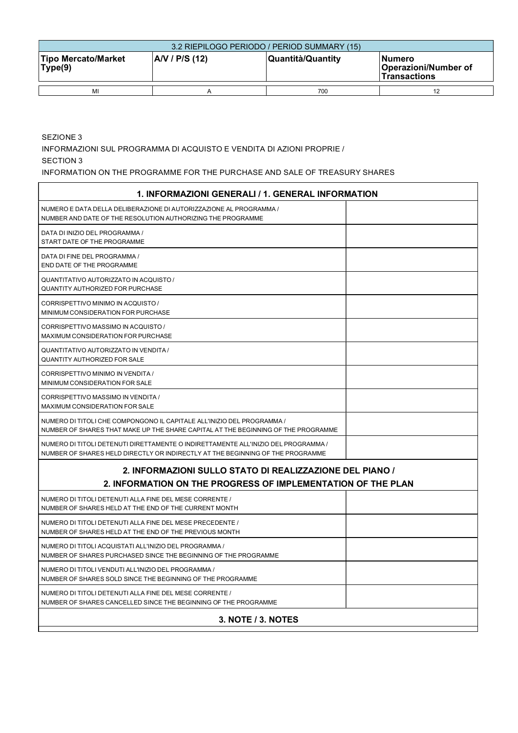| 3.2 RIEPILOGO PERIODO / PERIOD SUMMARY (15)            |  |                   |                                                               |  |  |  |  |  |
|--------------------------------------------------------|--|-------------------|---------------------------------------------------------------|--|--|--|--|--|
| AV / P/S (12)<br><b>Tipo Mercato/Market</b><br>Type(9) |  | Quantità/Quantity | <b>INumero</b><br>Operazioni/Number of<br><b>Transactions</b> |  |  |  |  |  |
| MI                                                     |  | 700               |                                                               |  |  |  |  |  |

SEZIONE 3

INFORMAZIONI SUL PROGRAMMA DI ACQUISTO E VENDITA DI AZIONI PROPRIE /

SECTION 3

INFORMATION ON THE PROGRAMME FOR THE PURCHASE AND SALE OF TREASURY SHARES

| 1. INFORMAZIONI GENERALI / 1. GENERAL INFORMATION                                                                                                                    |  |
|----------------------------------------------------------------------------------------------------------------------------------------------------------------------|--|
| NUMERO E DATA DELLA DELIBERAZIONE DI AUTORIZZAZIONE AL PROGRAMMA /<br>NUMBER AND DATE OF THE RESOLUTION AUTHORIZING THE PROGRAMME                                    |  |
| DATA DI INIZIO DEL PROGRAMMA /<br>START DATE OF THE PROGRAMME                                                                                                        |  |
| DATA DI FINE DEL PROGRAMMA /<br>END DATE OF THE PROGRAMME                                                                                                            |  |
| QUANTITATIVO AUTORIZZATO IN ACQUISTO /<br><b>QUANTITY AUTHORIZED FOR PURCHASE</b>                                                                                    |  |
| CORRISPETTIVO MINIMO IN ACQUISTO /<br>MINIMUM CONSIDERATION FOR PURCHASE                                                                                             |  |
| CORRISPETTIVO MASSIMO IN ACQUISTO /<br>MAXIMUM CONSIDERATION FOR PURCHASE                                                                                            |  |
| QUANTITATIVO AUTORIZZATO IN VENDITA /<br><b>QUANTITY AUTHORIZED FOR SALE</b>                                                                                         |  |
| CORRISPETTIVO MINIMO IN VENDITA /<br>MINIMUM CONSIDERATION FOR SALE                                                                                                  |  |
| CORRISPETTIVO MASSIMO IN VENDITA /<br>MAXIMUM CONSIDERATION FOR SALE                                                                                                 |  |
| NUMERO DI TITOLI CHE COMPONGONO IL CAPITALE ALL'INIZIO DEL PROGRAMMA /<br>NUMBER OF SHARES THAT MAKE UP THE SHARE CAPITAL AT THE BEGINNING OF THE PROGRAMME          |  |
| NUMERO DI TITOLI DETENUTI DIRETTAMENTE O INDIRETTAMENTE ALL'INIZIO DEL PROGRAMMA /<br>NUMBER OF SHARES HELD DIRECTLY OR INDIRECTLY AT THE BEGINNING OF THE PROGRAMME |  |
| 2. INFORMAZIONI SULLO STATO DI REALIZZAZIONE DEL PIANO /<br>2. INFORMATION ON THE PROGRESS OF IMPLEMENTATION OF THE PLAN                                             |  |
| NUMERO DI TITOLI DETENUTI ALLA FINE DEL MESE CORRENTE /<br>NUMBER OF SHARES HELD AT THE END OF THE CURRENT MONTH                                                     |  |
| NUMERO DI TITOLI DETENUTI ALLA FINE DEL MESE PRECEDENTE /<br>NUMBER OF SHARES HELD AT THE END OF THE PREVIOUS MONTH                                                  |  |
| NUMERO DI TITOLI ACQUISTATI ALL'INIZIO DEL PROGRAMMA /<br>NUMBER OF SHARES PURCHASED SINCE THE BEGINNING OF THE PROGRAMME                                            |  |
| NUMERO DI TITOLI VENDUTI ALL'INIZIO DEL PROGRAMMA /<br>NUMBER OF SHARES SOLD SINCE THE BEGINNING OF THE PROGRAMME                                                    |  |
| NUMERO DI TITOLI DETENUTI ALLA FINE DEL MESE CORRENTE /<br>NUMBER OF SHARES CANCELLED SINCE THE BEGINNING OF THE PROGRAMME                                           |  |
| 3. NOTE / 3. NOTES                                                                                                                                                   |  |